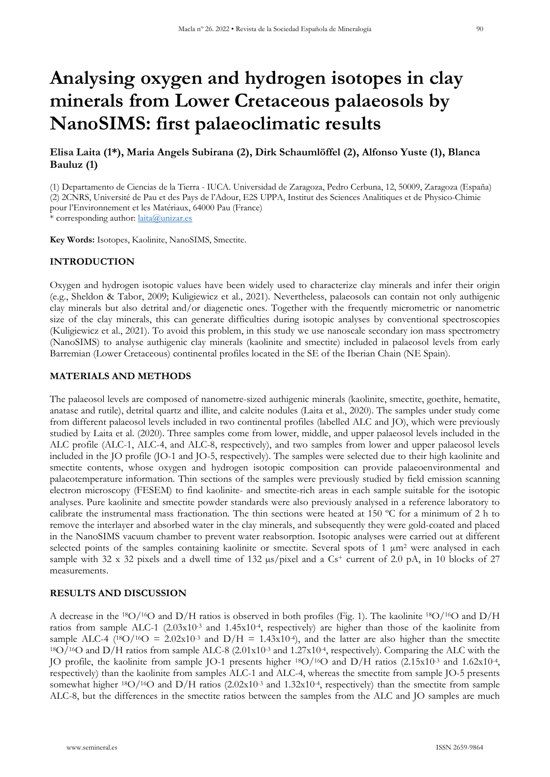# **Analysing oxygen and hydrogen isotopes in clay minerals from Lower Cretaceous palaeosols by NanoSIMS: first palaeoclimatic results**

# **Elisa Laita (1\*), Maria Angels Subirana (2), Dirk Schaumlöffel (2), Alfonso Yuste (1), Blanca Bauluz (1)**

(1) Departamento de Ciencias de la Tierra - IUCA. Universidad de Zaragoza, Pedro Cerbuna, 12, 50009, Zaragoza (España) (2) 2CNRS, Université de Pau et des Pays de l'Adour, E2S UPPA, Institut des Sciences Analitiques et de Physico-Chimie pour l'Environnement et les Matériaux, 64000 Pau (France) \* corresponding author: [laita@unizar.es](mailto:laita@unizar.es)

**Key Words:** Isotopes, Kaolinite, NanoSIMS, Smectite.

#### **INTRODUCTION**

Oxygen and hydrogen isotopic values have been widely used to characterize clay minerals and infer their origin (e.g., Sheldon & Tabor, 2009; Kuligiewicz et al., 2021). Nevertheless, palaeosols can contain not only authigenic clay minerals but also detrital and/or diagenetic ones. Together with the frequently micrometric or nanometric size of the clay minerals, this can generate difficulties during isotopic analyses by conventional spectroscopies (Kuligiewicz et al., 2021). To avoid this problem, in this study we use nanoscale secondary ion mass spectrometry (NanoSIMS) to analyse authigenic clay minerals (kaolinite and smectite) included in palaeosol levels from early Barremian (Lower Cretaceous) continental profiles located in the SE of the Iberian Chain (NE Spain).

#### **MATERIALS AND METHODS**

The palaeosol levels are composed of nanometre-sized authigenic minerals (kaolinite, smectite, goethite, hematite, anatase and rutile), detrital quartz and illite, and calcite nodules (Laita et al., 2020). The samples under study come from different palaeosol levels included in two continental profiles (labelled ALC and JO), which were previously studied by Laita et al. (2020). Three samples come from lower, middle, and upper palaeosol levels included in the ALC profile (ALC-1, ALC-4, and ALC-8, respectively), and two samples from lower and upper palaeosol levels included in the JO profile (JO-1 and JO-5, respectively). The samples were selected due to their high kaolinite and smectite contents, whose oxygen and hydrogen isotopic composition can provide palaeoenvironmental and palaeotemperature information. Thin sections of the samples were previously studied by field emission scanning electron microscopy (FESEM) to find kaolinite- and smectite-rich areas in each sample suitable for the isotopic analyses. Pure kaolinite and smectite powder standards were also previously analysed in a reference laboratory to calibrate the instrumental mass fractionation. The thin sections were heated at 150 ºC for a minimum of 2 h to remove the interlayer and absorbed water in the clay minerals, and subsequently they were gold-coated and placed in the NanoSIMS vacuum chamber to prevent water reabsorption. Isotopic analyses were carried out at different selected points of the samples containing kaolinite or smectite. Several spots of 1 μm<sup>2</sup> were analysed in each sample with 32 x 32 pixels and a dwell time of 132  $\mu s$ /pixel and a Cs<sup>+</sup> current of 2.0 pA, in 10 blocks of 27 measurements.

## **RESULTS AND DISCUSSION**

A decrease in the 18O/16O and D/H ratios is observed in both profiles (Fig. 1). The kaolinite 18O/16O and D/H ratios from sample ALC-1  $(2.03x10^{-3}$  and  $1.45x10^{-4}$ , respectively) are higher than those of the kaolinite from sample ALC-4 ( $^{18}O/^{16}O = 2.02 \times 10^{-3}$  and D/H = 1.43x10<sup>-4</sup>), and the latter are also higher than the smectite 18O/16O and D/H ratios from sample ALC-8 (2.01x10-3 and 1.27x10-4, respectively). Comparing the ALC with the JO profile, the kaolinite from sample JO-1 presents higher 18O/16O and D/H ratios (2.15x10-3 and 1.62x10-4, respectively) than the kaolinite from samples ALC-1 and ALC-4, whereas the smectite from sample JO-5 presents somewhat higher <sup>18</sup>O/<sup>16</sup>O and D/H ratios (2.02x10<sup>-3</sup> and 1.32x10<sup>-4</sup>, respectively) than the smectite from sample ALC-8, but the differences in the smectite ratios between the samples from the ALC and JO samples are much